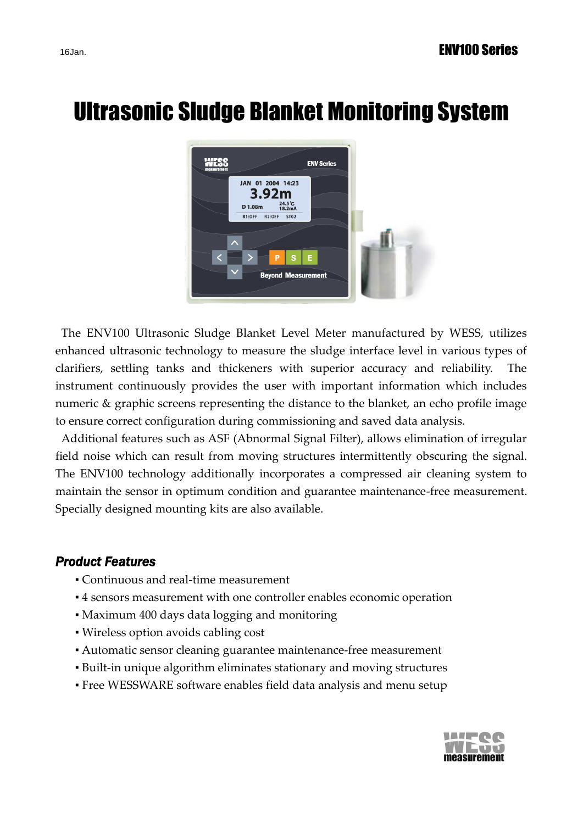# Ultrasonic Sludge Blanket Monitoring System



The ENV100 Ultrasonic Sludge Blanket Level Meter manufactured by WESS, utilizes enhanced ultrasonic technology to measure the sludge interface level in various types of clarifiers, settling tanks and thickeners with superior accuracy and reliability. The instrument continuously provides the user with important information which includes numeric & graphic screens representing the distance to the blanket, an echo profile image to ensure correct configuration during commissioning and saved data analysis.

Additional features such as ASF (Abnormal Signal Filter), allows elimination of irregular field noise which can result from moving structures intermittently obscuring the signal. The ENV100 technology additionally incorporates a compressed air cleaning system to maintain the sensor in optimum condition and guarantee maintenance-free measurement. Specially designed mounting kits are also available.

#### *Product Features*

- Continuous and real-time measurement
- 4 sensors measurement with one controller enables economic operation
- Maximum 400 days data logging and monitoring
- Wireless option avoids cabling cost
- Automatic sensor cleaning guarantee maintenance-free measurement
- Built-in unique algorithm eliminates stationary and moving structures
- Free WESSWARE software enables field data analysis and menu setup

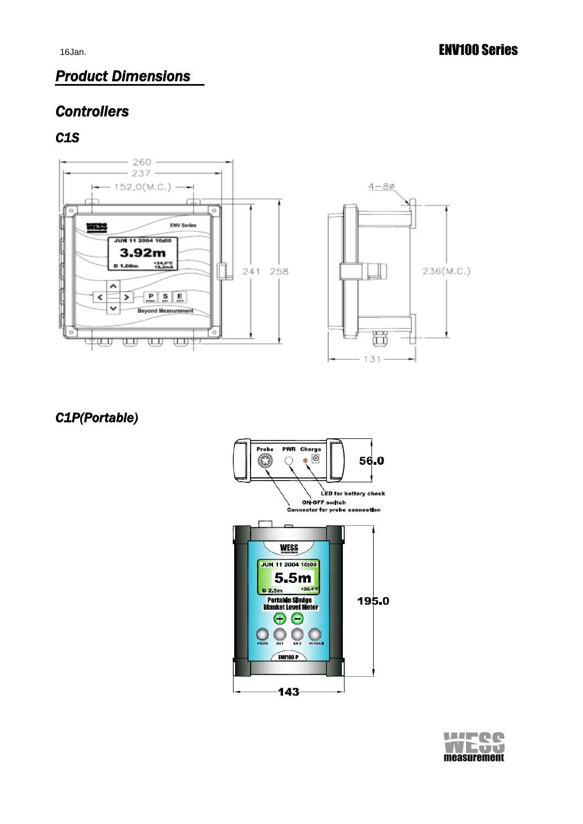236(M.C.)

# *Product Dimensions*

# *Controllers*

#### *C1S*



*C1P(Portable)*



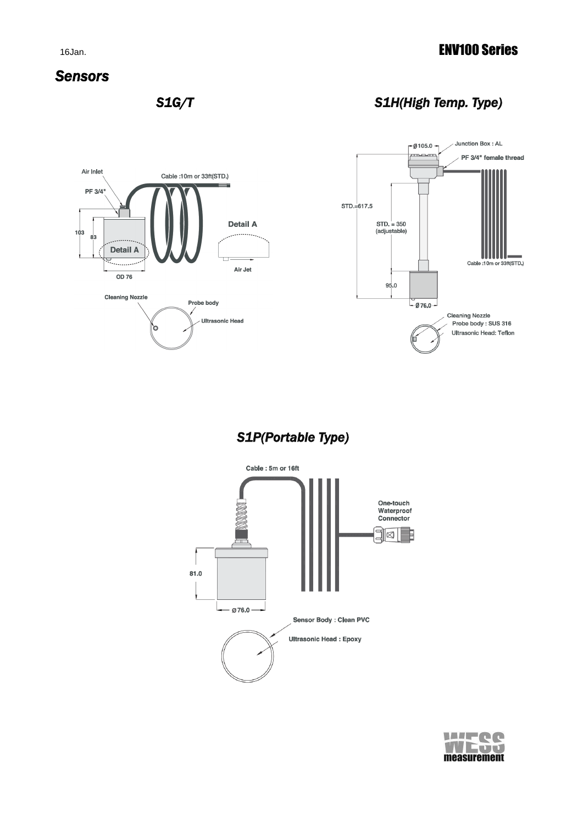#### 16Jan. **ENV100 Series**

#### *Sensors*

 *S1G/T S1H(High Temp. Type)* 



 *S1P(Portable Type)* 



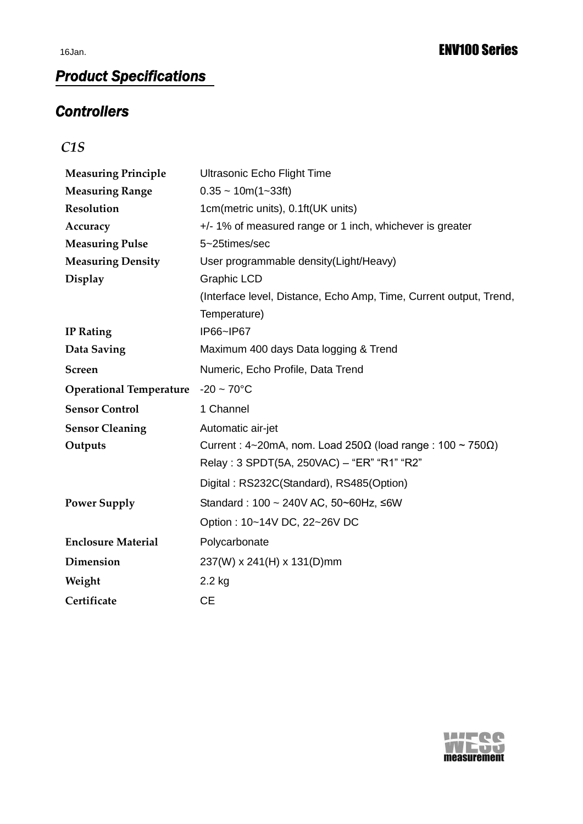# *Product Specifications*

### *Controllers*

*C1S*

| <b>Measuring Principle</b>     | Ultrasonic Echo Flight Time                                                                                                        |
|--------------------------------|------------------------------------------------------------------------------------------------------------------------------------|
| <b>Measuring Range</b>         | $0.35 \sim 10m(1-33ft)$                                                                                                            |
| <b>Resolution</b>              | 1cm(metric units), 0.1ft(UK units)                                                                                                 |
| Accuracy                       | +/- 1% of measured range or 1 inch, whichever is greater                                                                           |
| <b>Measuring Pulse</b>         | 5~25times/sec                                                                                                                      |
| <b>Measuring Density</b>       | User programmable density(Light/Heavy)                                                                                             |
| <b>Display</b>                 | <b>Graphic LCD</b>                                                                                                                 |
|                                | (Interface level, Distance, Echo Amp, Time, Current output, Trend,                                                                 |
|                                | Temperature)                                                                                                                       |
| <b>IP</b> Rating               | IP66~IP67                                                                                                                          |
| Data Saving                    | Maximum 400 days Data logging & Trend                                                                                              |
| <b>Screen</b>                  | Numeric, Echo Profile, Data Trend                                                                                                  |
| <b>Operational Temperature</b> | $-20 \sim 70^{\circ}$ C                                                                                                            |
| <b>Sensor Control</b>          | 1 Channel                                                                                                                          |
| <b>Sensor Cleaning</b>         | Automatic air-jet                                                                                                                  |
| Outputs                        | Current: $4\text{-}20$ mA, nom. Load $250\Omega$ (load range: $100 \sim 750\Omega$ )<br>Relay: 3 SPDT(5A, 250VAC) - "ER" "R1" "R2" |
|                                | Digital: RS232C(Standard), RS485(Option)                                                                                           |
| <b>Power Supply</b>            | Standard: 100 ~ 240V AC, 50~60Hz, ≤6W                                                                                              |
|                                | Option: 10~14V DC, 22~26V DC                                                                                                       |
| <b>Enclosure Material</b>      | Polycarbonate                                                                                                                      |
| Dimension                      | 237(W) x 241(H) x 131(D)mm                                                                                                         |
| Weight                         | $2.2$ kg                                                                                                                           |
| Certificate                    | <b>CE</b>                                                                                                                          |

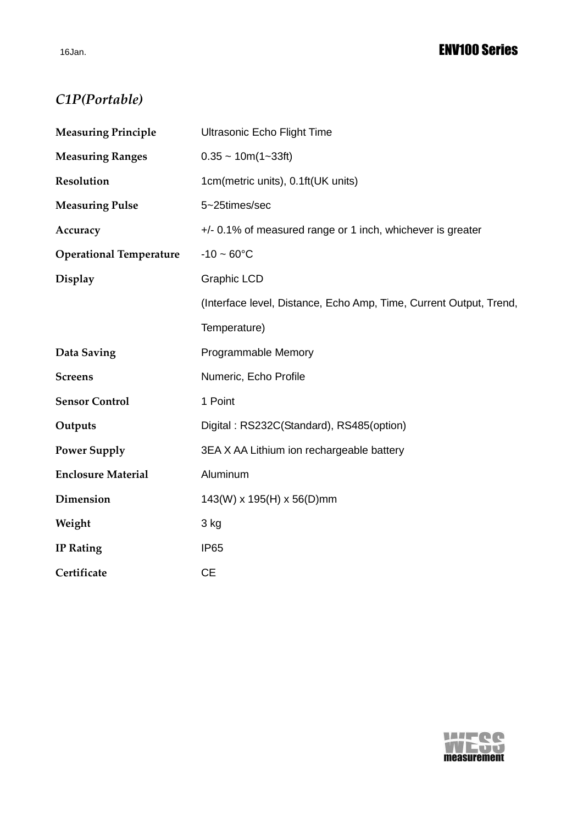# *C1P(Portable)*

| <b>Measuring Principle</b>     | <b>Ultrasonic Echo Flight Time</b>                                 |  |
|--------------------------------|--------------------------------------------------------------------|--|
| <b>Measuring Ranges</b>        | $0.35 \sim 10m(1 \sim 33ft)$                                       |  |
| Resolution                     | 1cm(metric units), 0.1ft(UK units)                                 |  |
| <b>Measuring Pulse</b>         | 5~25times/sec                                                      |  |
| Accuracy                       | +/- 0.1% of measured range or 1 inch, whichever is greater         |  |
| <b>Operational Temperature</b> | $-10 - 60^{\circ}C$                                                |  |
| <b>Display</b>                 | <b>Graphic LCD</b>                                                 |  |
|                                | (Interface level, Distance, Echo Amp, Time, Current Output, Trend, |  |
|                                | Temperature)                                                       |  |
| Data Saving                    | Programmable Memory                                                |  |
| <b>Screens</b>                 | Numeric, Echo Profile                                              |  |
| <b>Sensor Control</b>          | 1 Point                                                            |  |
| Outputs                        | Digital: RS232C(Standard), RS485(option)                           |  |
| <b>Power Supply</b>            | 3EA X AA Lithium ion rechargeable battery                          |  |
| <b>Enclosure Material</b>      | Aluminum                                                           |  |
| Dimension                      | 143(W) x 195(H) x 56(D)mm                                          |  |
| Weight                         | 3 kg                                                               |  |
| <b>IP Rating</b>               | <b>IP65</b>                                                        |  |
| Certificate                    | <b>CE</b>                                                          |  |

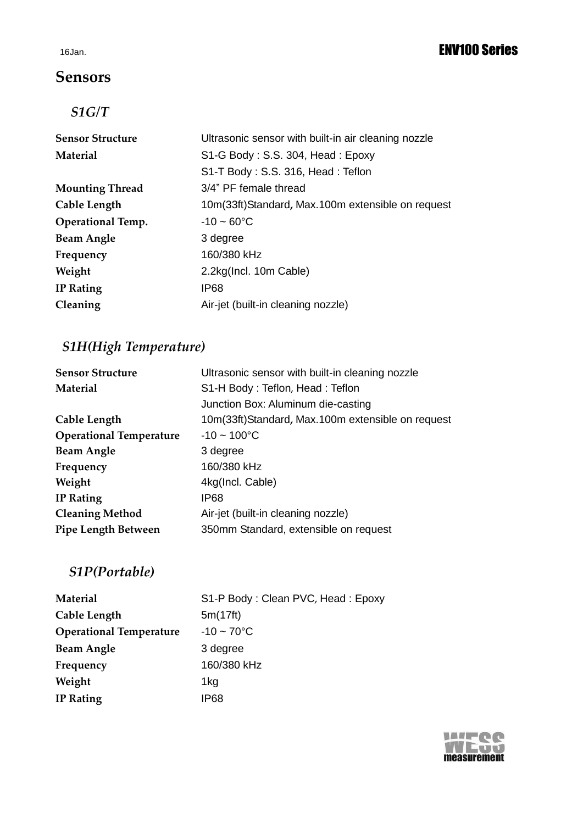### **Sensors**

### *S1G/T*

| <b>Sensor Structure</b>  | Ultrasonic sensor with built-in air cleaning nozzle |
|--------------------------|-----------------------------------------------------|
| <b>Material</b>          | S1-G Body: S.S. 304, Head: Epoxy                    |
|                          | S1-T Body: S.S. 316, Head: Teflon                   |
| <b>Mounting Thread</b>   | 3/4" PF female thread                               |
| Cable Length             | 10m(33ft)Standard, Max.100m extensible on request   |
| <b>Operational Temp.</b> | $-10 - 60^{\circ}$ C                                |
| <b>Beam Angle</b>        | 3 degree                                            |
| Frequency                | 160/380 kHz                                         |
| Weight                   | 2.2kg(Incl. 10m Cable)                              |
| <b>IP</b> Rating         | IP68                                                |
| Cleaning                 | Air-jet (built-in cleaning nozzle)                  |
|                          |                                                     |

# *S1H(High Temperature)*

| <b>Sensor Structure</b>        | Ultrasonic sensor with built-in cleaning nozzle   |
|--------------------------------|---------------------------------------------------|
| <b>Material</b>                | S1-H Body: Teflon, Head: Teflon                   |
|                                | Junction Box: Aluminum die-casting                |
| Cable Length                   | 10m(33ft)Standard, Max.100m extensible on request |
| <b>Operational Temperature</b> | $-10 \sim 100^{\circ}C$                           |
| <b>Beam Angle</b>              | 3 degree                                          |
| Frequency                      | 160/380 kHz                                       |
| Weight                         | 4kg(Incl. Cable)                                  |
| <b>IP</b> Rating               | IP68                                              |
| <b>Cleaning Method</b>         | Air-jet (built-in cleaning nozzle)                |
| Pipe Length Between            | 350mm Standard, extensible on request             |
|                                |                                                   |

# *S1P(Portable)*

| <b>Material</b>                | S1-P Body: Clean PVC, Head: Epoxy |
|--------------------------------|-----------------------------------|
| Cable Length                   | 5m(17ft)                          |
| <b>Operational Temperature</b> | $-10 - 70^{\circ}C$               |
| <b>Beam Angle</b>              | 3 degree                          |
| Frequency                      | 160/380 kHz                       |
| Weight                         | 1kg                               |
| <b>IP Rating</b>               | IP68                              |

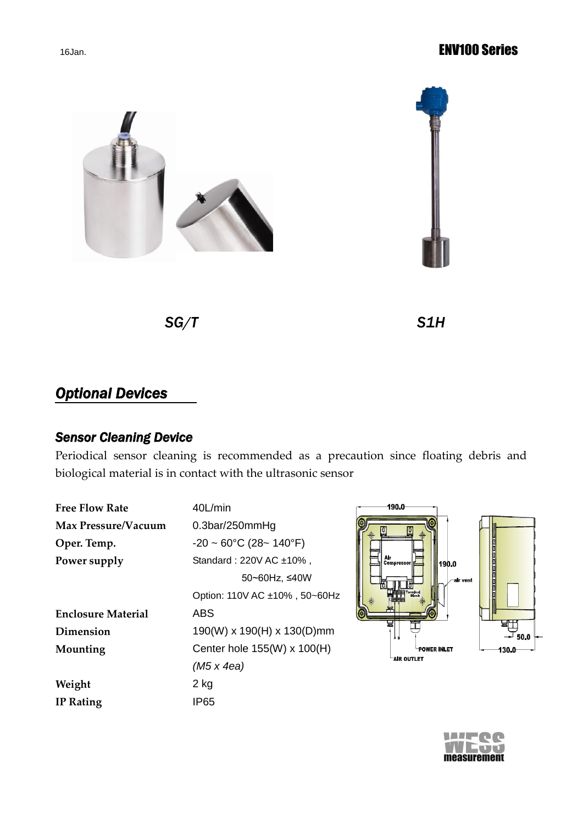#### 16Jan. **ENV100 Series**





*SG/T S1H* 

# *Optional Devices*

### *Sensor Cleaning Device*

Periodical sensor cleaning is recommended as a precaution since floating debris and biological material is in contact with the ultrasonic sensor

| <b>Free Flow Rate</b>     | 40L/min                                 |
|---------------------------|-----------------------------------------|
| Max Pressure/Vacuum       | 0.3 <sub>bar</sub> /250 <sub>mmHg</sub> |
| Oper. Temp.               | $-20 \sim 60^{\circ}$ C (28~ 140°F)     |
| Power supply              | Standard: 220V AC ±10%,                 |
|                           | 50~60Hz, ≤40W                           |
|                           | Option: 110V AC ±10%, 50~60Hz           |
| <b>Enclosure Material</b> | ABS                                     |
| Dimension                 | 190(W) x 190(H) x 130(D)mm              |
| Mounting                  | Center hole 155(W) x 100(H)             |
|                           | $(M5 \times 4ea)$                       |
| Weight                    | 2 kg                                    |
| <b>IP</b> Rating          | IP65                                    |
|                           |                                         |



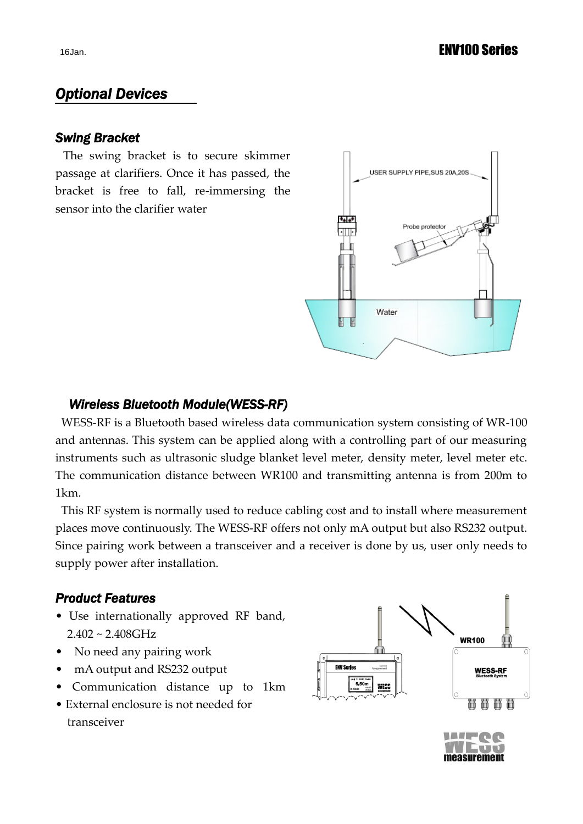### *Optional Devices*

#### *Swing Bracket*

The swing bracket is to secure skimmer passage at clarifiers. Once it has passed, the bracket is free to fall, re-immersing the sensor into the clarifier water



#### *Wireless Bluetooth Module(WESS-RF)*

WESS-RF is a Bluetooth based wireless data communication system consisting of WR-100 and antennas. This system can be applied along with a controlling part of our measuring instruments such as ultrasonic sludge blanket level meter, density meter, level meter etc. The communication distance between WR100 and transmitting antenna is from 200m to 1km.

This RF system is normally used to reduce cabling cost and to install where measurement places move continuously. The WESS-RF offers not only mA output but also RS232 output. Since pairing work between a transceiver and a receiver is done by us, user only needs to supply power after installation.

#### *Product Features*

- Use internationally approved RF band,  $2.402 \sim 2.408 \text{GHz}$
- No need any pairing work
- mA output and RS232 output
- Communication distance up to 1km
- External enclosure is not needed for transceiver